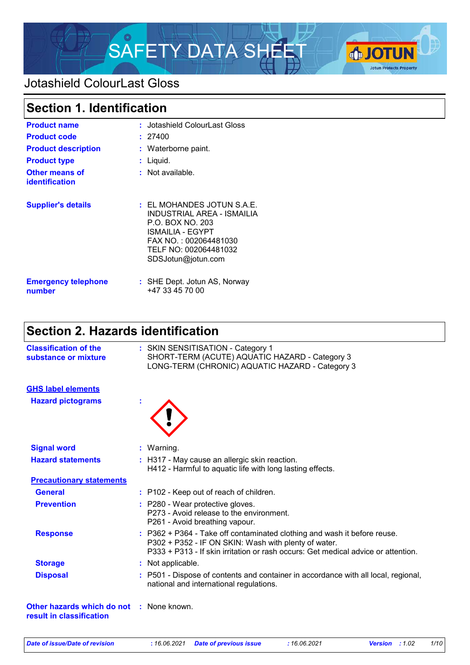

### Jotashield ColourLast Gloss

## **Section 1. Identification**

| <b>Product name</b><br><b>Product code</b><br><b>Product description</b><br><b>Product type</b><br><b>Other means of</b> | : Jotashield ColourLast Gloss<br>: 27400<br>: Waterborne paint.<br>: Liquid.<br>$:$ Not available.                                                                                  |
|--------------------------------------------------------------------------------------------------------------------------|-------------------------------------------------------------------------------------------------------------------------------------------------------------------------------------|
| <b>identification</b>                                                                                                    |                                                                                                                                                                                     |
| <b>Supplier's details</b>                                                                                                | $\pm$ EL MOHANDES JOTUN S.A.E.<br><b>INDUSTRIAL AREA - ISMAILIA</b><br>P.O. BOX NO. 203<br>ISMAILIA - EGYPT<br>FAX NO.: 002064481030<br>TELF NO: 002064481032<br>SDSJotun@jotun.com |
| <b>Emergency telephone</b><br>number                                                                                     | : SHE Dept. Jotun AS, Norway<br>+47 33 45 70 00                                                                                                                                     |

## **Section 2. Hazards identification**

| <b>Classification of the</b><br>substance or mixture                 | : SKIN SENSITISATION - Category 1<br>SHORT-TERM (ACUTE) AQUATIC HAZARD - Category 3<br>LONG-TERM (CHRONIC) AQUATIC HAZARD - Category 3                                                                                |
|----------------------------------------------------------------------|-----------------------------------------------------------------------------------------------------------------------------------------------------------------------------------------------------------------------|
| <b>GHS label elements</b>                                            |                                                                                                                                                                                                                       |
| <b>Hazard pictograms</b>                                             |                                                                                                                                                                                                                       |
| <b>Signal word</b>                                                   | : Warning.                                                                                                                                                                                                            |
| <b>Hazard statements</b>                                             | : H317 - May cause an allergic skin reaction.<br>H412 - Harmful to aquatic life with long lasting effects.                                                                                                            |
| <b>Precautionary statements</b>                                      |                                                                                                                                                                                                                       |
| <b>General</b>                                                       | : P102 - Keep out of reach of children.                                                                                                                                                                               |
| <b>Prevention</b>                                                    | : P280 - Wear protective gloves.<br>P273 - Avoid release to the environment.<br>P261 - Avoid breathing vapour.                                                                                                        |
| <b>Response</b>                                                      | : P362 + P364 - Take off contaminated clothing and wash it before reuse.<br>P302 + P352 - IF ON SKIN: Wash with plenty of water.<br>P333 + P313 - If skin irritation or rash occurs: Get medical advice or attention. |
| <b>Storage</b>                                                       | : Not applicable.                                                                                                                                                                                                     |
| <b>Disposal</b>                                                      | : P501 - Dispose of contents and container in accordance with all local, regional,<br>national and international regulations.                                                                                         |
| Other hazards which do not : None known.<br>result in classification |                                                                                                                                                                                                                       |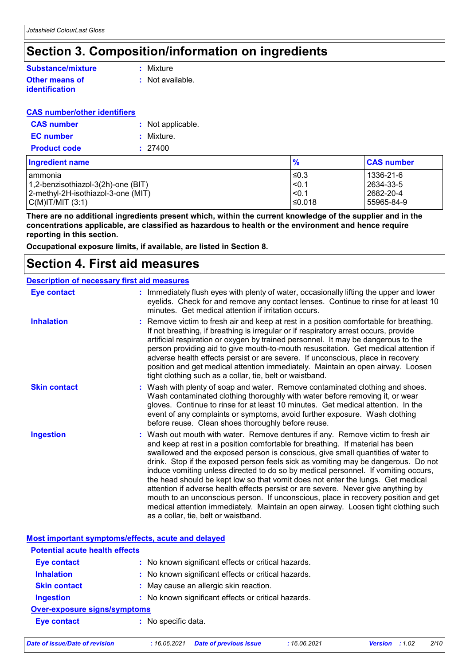### **Section 3. Composition/information on ingredients**

### **Substance/mixture**

#### **Other means of identification**

**:** Mixture

**:** Not available.

#### **CAS number/other identifiers**

| <b>CAS number</b>   | : Not applicable. |
|---------------------|-------------------|
| <b>EC</b> number    | : Mixture.        |
| <b>Product code</b> | : 27400           |

| <b>Ingredient name</b>             | $\frac{9}{6}$ | <b>CAS number</b> |
|------------------------------------|---------------|-------------------|
| lammonia                           | l≤0.3         | 1336-21-6         |
| 1,2-benzisothiazol-3(2h)-one (BIT) | $ $ <0.1      | l 2634-33-5       |
| 2-methyl-2H-isothiazol-3-one (MIT) | < 0.1         | l 2682-20-4       |
| $C(M)$ IT/MIT $(3:1)$              | ≤0.018        | 55965-84-9        |

**There are no additional ingredients present which, within the current knowledge of the supplier and in the concentrations applicable, are classified as hazardous to health or the environment and hence require reporting in this section.**

**Occupational exposure limits, if available, are listed in Section 8.**

### **Section 4. First aid measures**

#### **Description of necessary first aid measures**

| <b>Eye contact</b>  | ÷ | Immediately flush eyes with plenty of water, occasionally lifting the upper and lower<br>eyelids. Check for and remove any contact lenses. Continue to rinse for at least 10<br>minutes. Get medical attention if irritation occurs.                                                                                                                                                                                                                                                                                                                                                                                                                                                                                                                                                                                         |
|---------------------|---|------------------------------------------------------------------------------------------------------------------------------------------------------------------------------------------------------------------------------------------------------------------------------------------------------------------------------------------------------------------------------------------------------------------------------------------------------------------------------------------------------------------------------------------------------------------------------------------------------------------------------------------------------------------------------------------------------------------------------------------------------------------------------------------------------------------------------|
| <b>Inhalation</b>   |   | : Remove victim to fresh air and keep at rest in a position comfortable for breathing.<br>If not breathing, if breathing is irregular or if respiratory arrest occurs, provide<br>artificial respiration or oxygen by trained personnel. It may be dangerous to the<br>person providing aid to give mouth-to-mouth resuscitation. Get medical attention if<br>adverse health effects persist or are severe. If unconscious, place in recovery<br>position and get medical attention immediately. Maintain an open airway. Loosen<br>tight clothing such as a collar, tie, belt or waistband.                                                                                                                                                                                                                                 |
| <b>Skin contact</b> |   | : Wash with plenty of soap and water. Remove contaminated clothing and shoes.<br>Wash contaminated clothing thoroughly with water before removing it, or wear<br>gloves. Continue to rinse for at least 10 minutes. Get medical attention. In the<br>event of any complaints or symptoms, avoid further exposure. Wash clothing<br>before reuse. Clean shoes thoroughly before reuse.                                                                                                                                                                                                                                                                                                                                                                                                                                        |
| <b>Ingestion</b>    |   | : Wash out mouth with water. Remove dentures if any. Remove victim to fresh air<br>and keep at rest in a position comfortable for breathing. If material has been<br>swallowed and the exposed person is conscious, give small quantities of water to<br>drink. Stop if the exposed person feels sick as vomiting may be dangerous. Do not<br>induce vomiting unless directed to do so by medical personnel. If vomiting occurs,<br>the head should be kept low so that vomit does not enter the lungs. Get medical<br>attention if adverse health effects persist or are severe. Never give anything by<br>mouth to an unconscious person. If unconscious, place in recovery position and get<br>medical attention immediately. Maintain an open airway. Loosen tight clothing such<br>as a collar, tie, belt or waistband. |

|                                       | Most important symptoms/effects, acute and delayed  |  |
|---------------------------------------|-----------------------------------------------------|--|
| <b>Potential acute health effects</b> |                                                     |  |
| <b>Eye contact</b>                    | : No known significant effects or critical hazards. |  |
| <b>Inhalation</b>                     | : No known significant effects or critical hazards. |  |
| <b>Skin contact</b>                   | : May cause an allergic skin reaction.              |  |
| <b>Ingestion</b>                      | : No known significant effects or critical hazards. |  |
| Over-exposure signs/symptoms          |                                                     |  |
| <b>Eye contact</b>                    | : No specific data.                                 |  |
|                                       |                                                     |  |

*Date of issue/Date of revision* **:** *16.06.2021 Date of previous issue : 16.06.2021 Version : 1.02 2/10*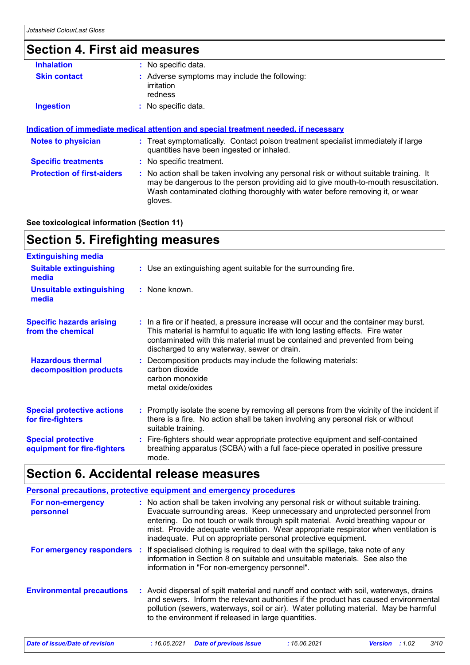## **Section 4. First aid measures**

| <b>Inhalation</b>                 | : No specific data.                                                                                                                                                                                                                                                      |
|-----------------------------------|--------------------------------------------------------------------------------------------------------------------------------------------------------------------------------------------------------------------------------------------------------------------------|
| <b>Skin contact</b>               | : Adverse symptoms may include the following:<br>irritation<br>redness                                                                                                                                                                                                   |
| <b>Ingestion</b>                  | : No specific data.                                                                                                                                                                                                                                                      |
| <b>Notes to physician</b>         | : Treat symptomatically. Contact poison treatment specialist immediately if large<br>quantities have been ingested or inhaled.                                                                                                                                           |
|                                   |                                                                                                                                                                                                                                                                          |
| <b>Specific treatments</b>        | : No specific treatment.                                                                                                                                                                                                                                                 |
| <b>Protection of first-aiders</b> | : No action shall be taken involving any personal risk or without suitable training. It<br>may be dangerous to the person providing aid to give mouth-to-mouth resuscitation.<br>Wash contaminated clothing thoroughly with water before removing it, or wear<br>gloves. |
|                                   |                                                                                                                                                                                                                                                                          |

**See toxicological information (Section 11)**

# **Section 5. Firefighting measures**

| <b>Extinguishing media</b>                               |                                                                                                                                                                                                                                                                                                      |
|----------------------------------------------------------|------------------------------------------------------------------------------------------------------------------------------------------------------------------------------------------------------------------------------------------------------------------------------------------------------|
| <b>Suitable extinguishing</b><br>media                   | : Use an extinguishing agent suitable for the surrounding fire.                                                                                                                                                                                                                                      |
| <b>Unsuitable extinguishing</b><br>media                 | : None known.                                                                                                                                                                                                                                                                                        |
| <b>Specific hazards arising</b><br>from the chemical     | : In a fire or if heated, a pressure increase will occur and the container may burst.<br>This material is harmful to aquatic life with long lasting effects. Fire water<br>contaminated with this material must be contained and prevented from being<br>discharged to any waterway, sewer or drain. |
| <b>Hazardous thermal</b><br>decomposition products       | : Decomposition products may include the following materials:<br>carbon dioxide<br>carbon monoxide<br>metal oxide/oxides                                                                                                                                                                             |
| <b>Special protective actions</b><br>for fire-fighters   | : Promptly isolate the scene by removing all persons from the vicinity of the incident if<br>there is a fire. No action shall be taken involving any personal risk or without<br>suitable training.                                                                                                  |
| <b>Special protective</b><br>equipment for fire-fighters | : Fire-fighters should wear appropriate protective equipment and self-contained<br>breathing apparatus (SCBA) with a full face-piece operated in positive pressure<br>mode.                                                                                                                          |

### **Section 6. Accidental release measures**

| Personal precautions, protective equipment and emergency procedures |  |                                                                                                                                                                                                                                                                                                                                                                                                                 |
|---------------------------------------------------------------------|--|-----------------------------------------------------------------------------------------------------------------------------------------------------------------------------------------------------------------------------------------------------------------------------------------------------------------------------------------------------------------------------------------------------------------|
| For non-emergency<br>personnel                                      |  | : No action shall be taken involving any personal risk or without suitable training.<br>Evacuate surrounding areas. Keep unnecessary and unprotected personnel from<br>entering. Do not touch or walk through spilt material. Avoid breathing vapour or<br>mist. Provide adequate ventilation. Wear appropriate respirator when ventilation is<br>inadequate. Put on appropriate personal protective equipment. |
|                                                                     |  | For emergency responders : If specialised clothing is required to deal with the spillage, take note of any<br>information in Section 8 on suitable and unsuitable materials. See also the<br>information in "For non-emergency personnel".                                                                                                                                                                      |
| <b>Environmental precautions</b>                                    |  | : Avoid dispersal of spilt material and runoff and contact with soil, waterways, drains<br>and sewers. Inform the relevant authorities if the product has caused environmental<br>pollution (sewers, waterways, soil or air). Water polluting material. May be harmful<br>to the environment if released in large quantities.                                                                                   |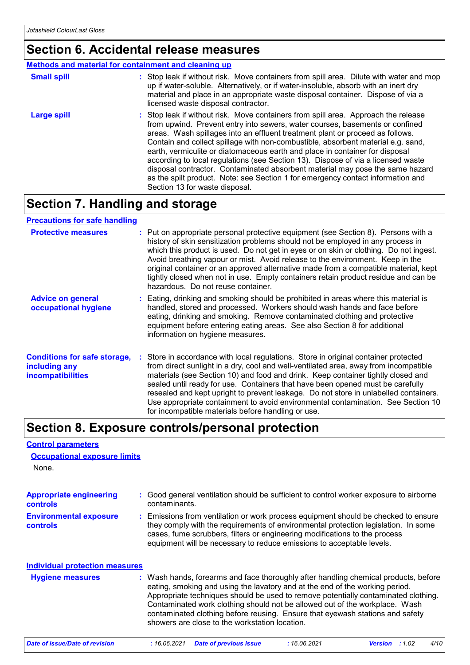None.

**Control parameters**

**Occupational exposure limits**

### **Section 6. Accidental release measures**

#### **Methods and material for containment and cleaning up**

| <b>Small spill</b> | : Stop leak if without risk. Move containers from spill area. Dilute with water and mop<br>up if water-soluble. Alternatively, or if water-insoluble, absorb with an inert dry<br>material and place in an appropriate waste disposal container. Dispose of via a<br>licensed waste disposal contractor.                                                                                                                                                                                                                                                                                                                                                                                                          |
|--------------------|-------------------------------------------------------------------------------------------------------------------------------------------------------------------------------------------------------------------------------------------------------------------------------------------------------------------------------------------------------------------------------------------------------------------------------------------------------------------------------------------------------------------------------------------------------------------------------------------------------------------------------------------------------------------------------------------------------------------|
| Large spill        | : Stop leak if without risk. Move containers from spill area. Approach the release<br>from upwind. Prevent entry into sewers, water courses, basements or confined<br>areas. Wash spillages into an effluent treatment plant or proceed as follows.<br>Contain and collect spillage with non-combustible, absorbent material e.g. sand,<br>earth, vermiculite or diatomaceous earth and place in container for disposal<br>according to local regulations (see Section 13). Dispose of via a licensed waste<br>disposal contractor. Contaminated absorbent material may pose the same hazard<br>as the spilt product. Note: see Section 1 for emergency contact information and<br>Section 13 for waste disposal. |

## **Section 7. Handling and storage**

| <b>Precautions for safe handling</b>                                             |                                                                                                                                                                                                                                                                                                                                                                                                                                                                                                                                                                                     |
|----------------------------------------------------------------------------------|-------------------------------------------------------------------------------------------------------------------------------------------------------------------------------------------------------------------------------------------------------------------------------------------------------------------------------------------------------------------------------------------------------------------------------------------------------------------------------------------------------------------------------------------------------------------------------------|
| <b>Protective measures</b>                                                       | : Put on appropriate personal protective equipment (see Section 8). Persons with a<br>history of skin sensitization problems should not be employed in any process in<br>which this product is used. Do not get in eyes or on skin or clothing. Do not ingest.<br>Avoid breathing vapour or mist. Avoid release to the environment. Keep in the<br>original container or an approved alternative made from a compatible material, kept<br>tightly closed when not in use. Empty containers retain product residue and can be<br>hazardous. Do not reuse container.                  |
| <b>Advice on general</b><br>occupational hygiene                                 | : Eating, drinking and smoking should be prohibited in areas where this material is<br>handled, stored and processed. Workers should wash hands and face before<br>eating, drinking and smoking. Remove contaminated clothing and protective<br>equipment before entering eating areas. See also Section 8 for additional<br>information on hygiene measures.                                                                                                                                                                                                                       |
| <b>Conditions for safe storage,</b><br>including any<br><i>incompatibilities</i> | : Store in accordance with local regulations. Store in original container protected<br>from direct sunlight in a dry, cool and well-ventilated area, away from incompatible<br>materials (see Section 10) and food and drink. Keep container tightly closed and<br>sealed until ready for use. Containers that have been opened must be carefully<br>resealed and kept upright to prevent leakage. Do not store in unlabelled containers.<br>Use appropriate containment to avoid environmental contamination. See Section 10<br>for incompatible materials before handling or use. |

### **Section 8. Exposure controls/personal protection**

| <b>Appropriate engineering</b><br><b>controls</b> | : Good general ventilation should be sufficient to control worker exposure to airborne<br>contaminants.                                                                                                                                                                                                                                                                                                                                                                     |
|---------------------------------------------------|-----------------------------------------------------------------------------------------------------------------------------------------------------------------------------------------------------------------------------------------------------------------------------------------------------------------------------------------------------------------------------------------------------------------------------------------------------------------------------|
| <b>Environmental exposure</b><br><b>controls</b>  | : Emissions from ventilation or work process equipment should be checked to ensure<br>they comply with the requirements of environmental protection legislation. In some<br>cases, fume scrubbers, filters or engineering modifications to the process<br>equipment will be necessary to reduce emissions to acceptable levels.                                                                                                                                             |
| <b>Individual protection measures</b>             |                                                                                                                                                                                                                                                                                                                                                                                                                                                                             |
| <b>Hygiene measures</b>                           | : Wash hands, forearms and face thoroughly after handling chemical products, before<br>eating, smoking and using the lavatory and at the end of the working period.<br>Appropriate techniques should be used to remove potentially contaminated clothing.<br>Contaminated work clothing should not be allowed out of the workplace. Wash<br>contaminated clothing before reusing. Ensure that eyewash stations and safety<br>showers are close to the workstation location. |
| Date of issue/Date of revision                    | <b>Date of previous issue</b><br>:16.06.2021<br>:1.02<br>: 16.06.2021<br><b>Version</b><br>4/10                                                                                                                                                                                                                                                                                                                                                                             |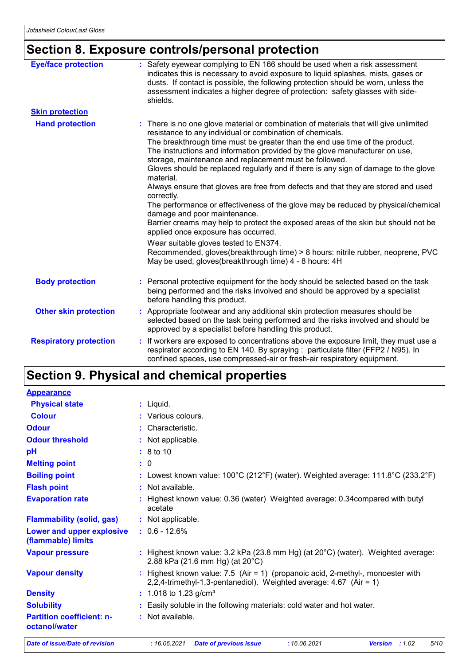## **Section 8. Exposure controls/personal protection**

| <b>Eye/face protection</b>    | : Safety eyewear complying to EN 166 should be used when a risk assessment<br>indicates this is necessary to avoid exposure to liquid splashes, mists, gases or<br>dusts. If contact is possible, the following protection should be worn, unless the<br>assessment indicates a higher degree of protection: safety glasses with side-<br>shields.                                                                                                                                                                                                                                                                                                                                                                                                                                                                                  |
|-------------------------------|-------------------------------------------------------------------------------------------------------------------------------------------------------------------------------------------------------------------------------------------------------------------------------------------------------------------------------------------------------------------------------------------------------------------------------------------------------------------------------------------------------------------------------------------------------------------------------------------------------------------------------------------------------------------------------------------------------------------------------------------------------------------------------------------------------------------------------------|
| <b>Skin protection</b>        |                                                                                                                                                                                                                                                                                                                                                                                                                                                                                                                                                                                                                                                                                                                                                                                                                                     |
| <b>Hand protection</b>        | : There is no one glove material or combination of materials that will give unlimited<br>resistance to any individual or combination of chemicals.<br>The breakthrough time must be greater than the end use time of the product.<br>The instructions and information provided by the glove manufacturer on use,<br>storage, maintenance and replacement must be followed.<br>Gloves should be replaced regularly and if there is any sign of damage to the glove<br>material.<br>Always ensure that gloves are free from defects and that they are stored and used<br>correctly.<br>The performance or effectiveness of the glove may be reduced by physical/chemical<br>damage and poor maintenance.<br>Barrier creams may help to protect the exposed areas of the skin but should not be<br>applied once exposure has occurred. |
|                               | Wear suitable gloves tested to EN374.<br>Recommended, gloves(breakthrough time) > 8 hours: nitrile rubber, neoprene, PVC<br>May be used, gloves(breakthrough time) 4 - 8 hours: 4H                                                                                                                                                                                                                                                                                                                                                                                                                                                                                                                                                                                                                                                  |
| <b>Body protection</b>        | : Personal protective equipment for the body should be selected based on the task<br>being performed and the risks involved and should be approved by a specialist<br>before handling this product.                                                                                                                                                                                                                                                                                                                                                                                                                                                                                                                                                                                                                                 |
| <b>Other skin protection</b>  | : Appropriate footwear and any additional skin protection measures should be<br>selected based on the task being performed and the risks involved and should be<br>approved by a specialist before handling this product.                                                                                                                                                                                                                                                                                                                                                                                                                                                                                                                                                                                                           |
| <b>Respiratory protection</b> | : If workers are exposed to concentrations above the exposure limit, they must use a<br>respirator according to EN 140. By spraying : particulate filter (FFP2 / N95). In<br>confined spaces, use compressed-air or fresh-air respiratory equipment.                                                                                                                                                                                                                                                                                                                                                                                                                                                                                                                                                                                |

### **Section 9. Physical and chemical properties**

| <b>Appearance</b>                                 |                                                                                                                                                           |
|---------------------------------------------------|-----------------------------------------------------------------------------------------------------------------------------------------------------------|
| <b>Physical state</b>                             | $:$ Liquid.                                                                                                                                               |
| <b>Colour</b>                                     | : Various colours.                                                                                                                                        |
| <b>Odour</b>                                      | : Characteristic.                                                                                                                                         |
| <b>Odour threshold</b>                            | : Not applicable.                                                                                                                                         |
| pH                                                | : 8 to 10                                                                                                                                                 |
| <b>Melting point</b>                              | : 0                                                                                                                                                       |
| <b>Boiling point</b>                              | : Lowest known value: $100^{\circ}$ C (212 $^{\circ}$ F) (water). Weighted average: 111.8 $^{\circ}$ C (233.2 $^{\circ}$ F)                               |
| <b>Flash point</b>                                | : Not available.                                                                                                                                          |
| <b>Evaporation rate</b>                           | : Highest known value: 0.36 (water) Weighted average: 0.34 compared with butyl<br>acetate                                                                 |
| <b>Flammability (solid, gas)</b>                  | : Not applicable.                                                                                                                                         |
| Lower and upper explosive<br>(flammable) limits   | $: 0.6 - 12.6%$                                                                                                                                           |
| <b>Vapour pressure</b>                            | : Highest known value: $3.2$ kPa (23.8 mm Hg) (at $20^{\circ}$ C) (water). Weighted average:<br>2.88 kPa (21.6 mm Hg) (at 20°C)                           |
| <b>Vapour density</b>                             | : Highest known value: $7.5$ (Air = 1) (propanoic acid, 2-methyl-, monoester with<br>2,2,4-trimethyl-1,3-pentanediol). Weighted average: $4.67$ (Air = 1) |
| <b>Density</b>                                    | : 1.018 to 1.23 g/cm <sup>3</sup>                                                                                                                         |
| <b>Solubility</b>                                 | : Easily soluble in the following materials: cold water and hot water.                                                                                    |
| <b>Partition coefficient: n-</b><br>octanol/water | : Not available.                                                                                                                                          |
| <b>Date of issue/Date of revision</b>             | 5/10<br>: 16.06.2021<br>: 16.06.2021<br>Version : 1.02<br><b>Date of previous issue</b>                                                                   |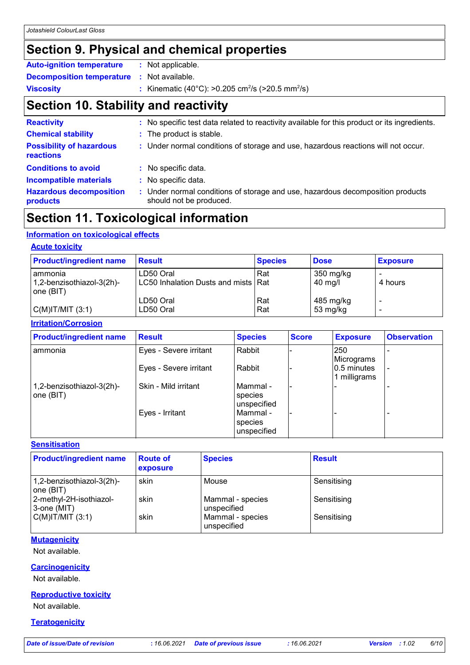## **Section 9. Physical and chemical properties**

| <b>Auto-ignition temperature</b>                  | : Not applicable.                                                        |
|---------------------------------------------------|--------------------------------------------------------------------------|
| <b>Decomposition temperature : Not available.</b> |                                                                          |
| <b>Viscosity</b>                                  | : Kinematic (40°C): >0.205 cm <sup>2</sup> /s (>20.5 mm <sup>2</sup> /s) |

## **Section 10. Stability and reactivity**

| <b>Reactivity</b>                            | : No specific test data related to reactivity available for this product or its ingredients.              |
|----------------------------------------------|-----------------------------------------------------------------------------------------------------------|
| <b>Chemical stability</b>                    | : The product is stable.                                                                                  |
| <b>Possibility of hazardous</b><br>reactions | : Under normal conditions of storage and use, hazardous reactions will not occur.                         |
| <b>Conditions to avoid</b>                   | : No specific data.                                                                                       |
| <b>Incompatible materials</b>                | : No specific data.                                                                                       |
| <b>Hazardous decomposition</b><br>products   | : Under normal conditions of storage and use, hazardous decomposition products<br>should not be produced. |

### **Section 11. Toxicological information**

#### **Information on toxicological effects**

#### **Acute toxicity**

| <b>Product/ingredient name</b>                    | <b>Result</b>                                    | <b>Species</b> | <b>Dose</b>                    | <b>Exposure</b> |
|---------------------------------------------------|--------------------------------------------------|----------------|--------------------------------|-----------------|
| ammonia<br>1,2-benzisothiazol-3(2h)-<br>one (BIT) | LD50 Oral<br>LC50 Inhalation Dusts and mists Rat | Rat            | 350 mg/kg<br>$40 \text{ mg/l}$ | 4 hours         |
| $C(M)$ IT/MIT $(3:1)$                             | LD50 Oral<br>LD50 Oral                           | Rat<br>Rat     | 485 mg/kg<br>53 mg/kg          |                 |

#### **Irritation/Corrosion**

| <b>Product/ingredient name</b>         | <b>Result</b>          | <b>Species</b>                       | <b>Score</b> | <b>Exposure</b>             | <b>Observation</b> |
|----------------------------------------|------------------------|--------------------------------------|--------------|-----------------------------|--------------------|
| l ammonia                              | Eyes - Severe irritant | Rabbit                               |              | 250<br>Micrograms           |                    |
|                                        | Eyes - Severe irritant | l Rabbit                             |              | 0.5 minutes<br>1 milligrams |                    |
| 1,2-benzisothiazol-3(2h)-<br>one (BIT) | Skin - Mild irritant   | l Mammal -<br>species<br>unspecified |              |                             |                    |
|                                        | Eyes - Irritant        | l Mammal -<br>species<br>unspecified |              |                             |                    |

#### **Sensitisation**

| <b>Product/ingredient name</b>           | <b>Route of</b><br>exposure | <b>Species</b>                  | <b>Result</b> |
|------------------------------------------|-----------------------------|---------------------------------|---------------|
| 1,2-benzisothiazol-3(2h)-<br>I one (BIT) | skin                        | Mouse                           | Sensitising   |
| 2-methyl-2H-isothiazol-<br>3-one (MIT)   | skin                        | Mammal - species<br>unspecified | Sensitising   |
| $C(M)$ IT/MIT $(3:1)$                    | skin                        | Mammal - species<br>unspecified | Sensitising   |

#### **Mutagenicity**

Not available.

#### **Carcinogenicity**

Not available.

#### **Reproductive toxicity**

Not available.

**Teratogenicity**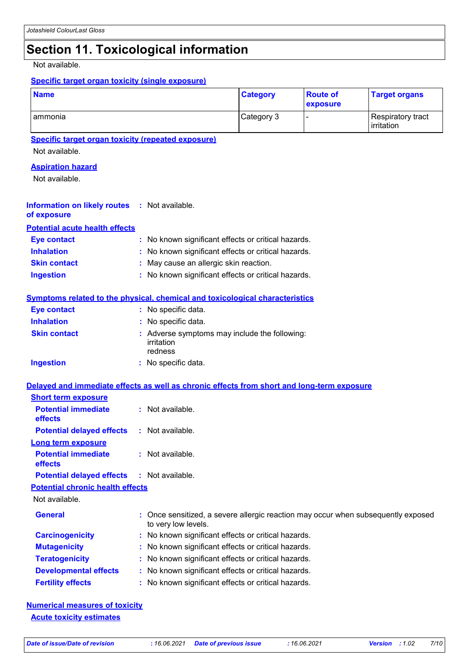### **Section 11. Toxicological information**

Not available.

#### **Specific target organ toxicity (single exposure)**

| <b>Name</b> | <b>Category</b> | <b>Route of</b><br><b>exposure</b> | <b>Target organs</b>            |
|-------------|-----------------|------------------------------------|---------------------------------|
| ammonia     | Category 3      |                                    | Respiratory tract<br>irritation |

#### **Specific target organ toxicity (repeated exposure)**

Not available.

#### **Aspiration hazard**

Not available.

#### **Information on likely routes :** Not available. **of exposure**

**Potential acute health effects**

| <b>Eve contact</b>  | : No known significant effects or critical hazards. |
|---------------------|-----------------------------------------------------|
| <b>Inhalation</b>   | : No known significant effects or critical hazards. |
| <b>Skin contact</b> | : May cause an allergic skin reaction.              |
| <b>Ingestion</b>    | : No known significant effects or critical hazards. |

#### **Symptoms related to the physical, chemical and toxicological characteristics**

| <b>Eye contact</b>  | : No specific data.                                                    |
|---------------------|------------------------------------------------------------------------|
| <b>Inhalation</b>   | : No specific data.                                                    |
| <b>Skin contact</b> | : Adverse symptoms may include the following:<br>irritation<br>redness |
| <b>Ingestion</b>    | : No specific data.                                                    |

#### **Delayed and immediate effects as well as chronic effects from short and long-term exposure**

| <b>Short term exposure</b>                        |                                                                                                          |
|---------------------------------------------------|----------------------------------------------------------------------------------------------------------|
| <b>Potential immediate</b><br><b>effects</b>      | $:$ Not available.                                                                                       |
| <b>Potential delayed effects</b>                  | : Not available.                                                                                         |
| Long term exposure                                |                                                                                                          |
| <b>Potential immediate</b><br><b>effects</b>      | : Not available.                                                                                         |
| <b>Potential delayed effects : Not available.</b> |                                                                                                          |
| <b>Potential chronic health effects</b>           |                                                                                                          |
| Not available.                                    |                                                                                                          |
| <b>General</b>                                    | : Once sensitized, a severe allergic reaction may occur when subsequently exposed<br>to very low levels. |
| <b>Carcinogenicity</b>                            | : No known significant effects or critical hazards.                                                      |
| <b>Mutagenicity</b>                               | : No known significant effects or critical hazards.                                                      |
| <b>Teratogenicity</b>                             | : No known significant effects or critical hazards.                                                      |
| <b>Developmental effects</b>                      | : No known significant effects or critical hazards.                                                      |
| <b>Fertility effects</b>                          | : No known significant effects or critical hazards.                                                      |

#### **Numerical measures of toxicity Acute toxicity estimates**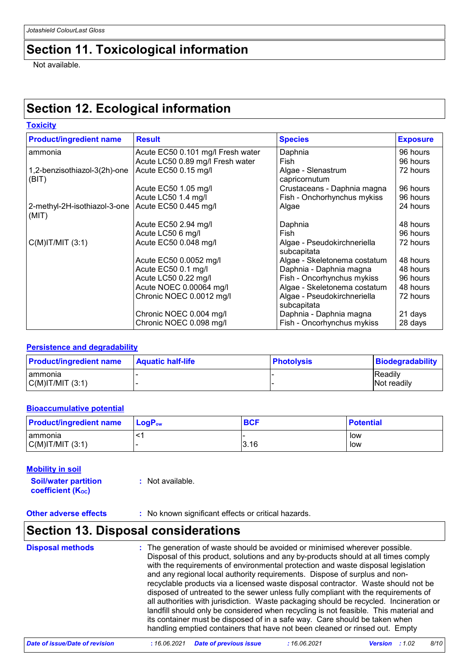### **Section 11. Toxicological information**

Not available.

### **Section 12. Ecological information**

| <b>Toxicity</b>                       |                                   |                                            |                 |
|---------------------------------------|-----------------------------------|--------------------------------------------|-----------------|
| <b>Product/ingredient name</b>        | <b>Result</b>                     | <b>Species</b>                             | <b>Exposure</b> |
| ammonia                               | Acute EC50 0.101 mg/l Fresh water | Daphnia                                    | 96 hours        |
|                                       | Acute LC50 0.89 mg/l Fresh water  | Fish                                       | 96 hours        |
| 1,2-benzisothiazol-3(2h)-one<br>(BIT) | Acute EC50 0.15 mg/l              | Algae - Slenastrum<br>capricornutum        | 72 hours        |
|                                       | Acute EC50 1.05 mg/l              | Crustaceans - Daphnia magna                | 96 hours        |
|                                       | Acute LC50 1.4 mg/l               | Fish - Onchorhynchus mykiss                | 96 hours        |
| 2-methyl-2H-isothiazol-3-one<br>(MIT) | Acute EC50 0.445 mg/l             | Algae                                      | 24 hours        |
|                                       | Acute EC50 2.94 mg/l              | Daphnia                                    | 48 hours        |
|                                       | Acute LC50 6 mg/l                 | Fish                                       | 96 hours        |
| $C(M)$ IT/MIT $(3:1)$                 | Acute EC50 0.048 mg/l             | Algae - Pseudokirchneriella<br>subcapitata | 72 hours        |
|                                       | Acute EC50 0.0052 mg/l            | Algae - Skeletonema costatum               | 48 hours        |
|                                       | Acute EC50 0.1 mg/l               | Daphnia - Daphnia magna                    | 48 hours        |
|                                       | Acute LC50 0.22 mg/l              | Fish - Oncorhynchus mykiss                 | 96 hours        |
|                                       | Acute NOEC 0.00064 mg/l           | Algae - Skeletonema costatum               | 48 hours        |
|                                       | Chronic NOEC 0.0012 mg/l          | Algae - Pseudokirchneriella<br>subcapitata | 72 hours        |
|                                       | Chronic NOEC 0.004 mg/l           | Daphnia - Daphnia magna                    | 21 days         |
|                                       | Chronic NOEC 0.098 mg/l           | Fish - Oncorhynchus mykiss                 | 28 days         |

#### **Persistence and degradability**

| <b>Product/ingredient name</b> | <b>Aquatic half-life</b> | <b>Photolysis</b> | Biodegradability              |
|--------------------------------|--------------------------|-------------------|-------------------------------|
| Tammonia<br> C(M) T/M T(3:1)   |                          |                   | <b>Readily</b><br>Not readily |

#### **Bioaccumulative potential**

| <b>Product/ingredient name</b> | <b>LogP</b> <sub>ow</sub> | <b>BCF</b> | <b>Potential</b> |
|--------------------------------|---------------------------|------------|------------------|
| I ammonia                      |                           |            | low              |
| $C(M)$ IT/MIT $(3:1)$          |                           | 3.16       | low              |

#### **Mobility in soil**

**Soil/water partition coefficient (Koc) :** Not available.

**Other adverse effects** : No known significant effects or critical hazards.

### **Section 13. Disposal considerations**

| <b>Disposal methods</b> | : The generation of waste should be avoided or minimised wherever possible.<br>Disposal of this product, solutions and any by-products should at all times comply<br>with the requirements of environmental protection and waste disposal legislation<br>and any regional local authority requirements. Dispose of surplus and non-<br>recyclable products via a licensed waste disposal contractor. Waste should not be<br>disposed of untreated to the sewer unless fully compliant with the requirements of<br>all authorities with jurisdiction. Waste packaging should be recycled. Incineration or<br>landfill should only be considered when recycling is not feasible. This material and<br>its container must be disposed of in a safe way. Care should be taken when |
|-------------------------|--------------------------------------------------------------------------------------------------------------------------------------------------------------------------------------------------------------------------------------------------------------------------------------------------------------------------------------------------------------------------------------------------------------------------------------------------------------------------------------------------------------------------------------------------------------------------------------------------------------------------------------------------------------------------------------------------------------------------------------------------------------------------------|
|                         | handling emptied containers that have not been cleaned or rinsed out. Empty                                                                                                                                                                                                                                                                                                                                                                                                                                                                                                                                                                                                                                                                                                    |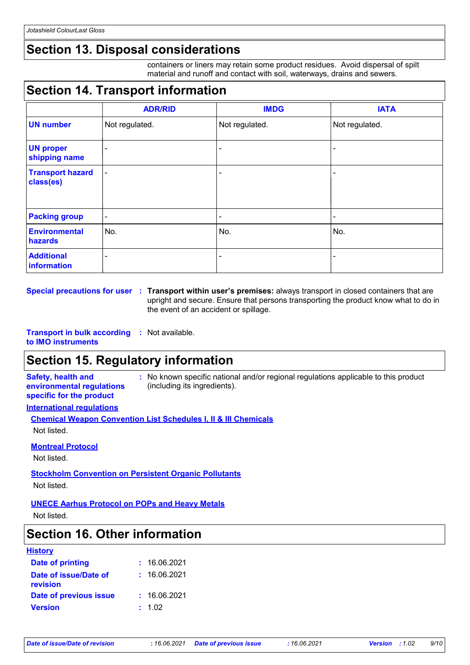### **Section 13. Disposal considerations**

containers or liners may retain some product residues. Avoid dispersal of spilt material and runoff and contact with soil, waterways, drains and sewers.

## **Section 14. Transport information**

|                                      | <b>ADR/RID</b> | <b>IMDG</b>    | <b>IATA</b>    |
|--------------------------------------|----------------|----------------|----------------|
| <b>UN number</b>                     | Not regulated. | Not regulated. | Not regulated. |
| <b>UN proper</b><br>shipping name    | $\blacksquare$ |                |                |
| <b>Transport hazard</b><br>class(es) | $\blacksquare$ | $\blacksquare$ |                |
| <b>Packing group</b>                 | $\blacksquare$ | -              | -              |
| <b>Environmental</b><br>hazards      | No.            | No.            | No.            |
| <b>Additional</b><br>information     | ۰              | -              | -              |

**Special precautions for user Transport within user's premises:** always transport in closed containers that are **:** upright and secure. Ensure that persons transporting the product know what to do in the event of an accident or spillage.

**Transport in bulk according :** Not available.

#### **to IMO instruments**

### **Section 15. Regulatory information**

**Safety, health and environmental regulations specific for the product**

**:** No known specific national and/or regional regulations applicable to this product (including its ingredients).

#### **International regulations**

| <b>Chemical Weapon Convention List Schedules I, II &amp; III Chemicals</b> |  |
|----------------------------------------------------------------------------|--|
| Not listed.                                                                |  |

#### **Montreal Protocol**

Not listed.

#### **Stockholm Convention on Persistent Organic Pollutants** Not listed.

#### **UNECE Aarhus Protocol on POPs and Heavy Metals**

Not listed.

### **Section 16. Other information**

| <b>History</b>                    |              |
|-----------------------------------|--------------|
| <b>Date of printing</b>           | : 16.06.2021 |
| Date of issue/Date of<br>revision | : 16.06.2021 |
| Date of previous issue            | : 16.06.2021 |
| <b>Version</b>                    | : 1.02       |